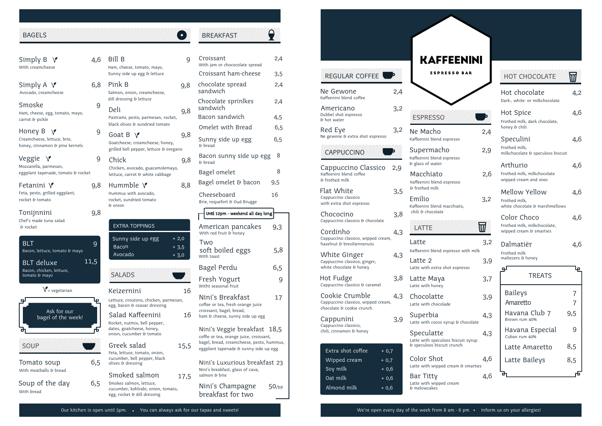### BAGELS

Simply B  $\sqrt{ }$ With creamcheese

Simply A  $\sqrt{}$ Avocado, creamcheese

#### Smoske 9 Ham, cheese, egg, tomato, mayo,

carrot & pickle

Honey B  $\sqrt{ }$ Creamcheese, lettuce, brie, honey, cinnamon & pine kernels

## Veggie

Mozzarella, parmesan, eggplant tapenade, tomato & rocket

Fetanini  $\mathcal V$ Feta, pesto, grilled eggplant, rocket & tomato

# Tonijnnini

Chef's made tuna salad & rocket

#### 9 BLT Bacon, lettuce, tomato & mayo BLT deluxe Bacon, chicken, lettuce, tomato & mayo

 $V = v$ egetarian



Tomato soup With meatballs & bread

 6,5 With bread Soup of the day

| 4,6              | Bill B<br>Ham, cheese, tomato, mayo,<br>Sunny side up egg & lettuce                                                                                        | 9     |
|------------------|------------------------------------------------------------------------------------------------------------------------------------------------------------|-------|
| 6,8              | Pink B<br>Salmon, onion, creamcheese,<br>dill dressing & lettuce                                                                                           | 9,8   |
| 9<br>ιγo,        | Deli<br>Pastrami, pesto, parmesan, rocket,<br>black olives & sundried tomato                                                                               | 9,8   |
| 9<br>ıels        | Goat B ∨<br>Goatcheese, creamcheese, honey,<br>grilled bell pepper, lettuce & oregano                                                                      | 9,8   |
| 9<br>rocket      | Chick<br>Chicken, avocado, guacamolemayo,<br>lettuce, carrot & white cabbage                                                                               | 9,8   |
| 9,8              | Hummble V<br>Hummus with avocado,<br>rocket, sundried tomato<br>& onion                                                                                    | 8,8   |
| 9,8              |                                                                                                                                                            |       |
|                  | <b>EXTRA TOPPINGS</b>                                                                                                                                      |       |
| q<br>ayo<br>11,5 | $+2,0$<br>Sunny side up egg<br>Bacon<br>$+3,5$<br>Avocado<br><b>SALADS</b>                                                                                 | . 3,0 |
|                  | Keizernini                                                                                                                                                 | 16    |
| ŀę<br>ek!        | Lettuce, croutons, chicken, parmesan,<br>egg, bacon & ceasar dressing<br>Salad Kaffeenini<br>Rocket, nutmix, bell pepper,                                  | 16    |
| 币<br>6,5         | dates, goatcheese, honey,<br>onion, cucumber & tomato<br>Greek salad<br>Feta, lettuce, tomato, onion,<br>cucumber, bell pepper, black<br>olives & dressing | 15,5  |

| Croissant<br>With jam or chococolate spread                                                                                                                     | 2,4      |
|-----------------------------------------------------------------------------------------------------------------------------------------------------------------|----------|
| Croissant ham-cheese                                                                                                                                            | 3,5      |
| chocolate spread<br>sandwich                                                                                                                                    | 2,4      |
| Chocolate sprinlkes<br>sandwich                                                                                                                                 | 2,4      |
| Bacon sandwich                                                                                                                                                  | 4,5      |
| Omelet with Bread                                                                                                                                               | 6,5      |
| Sunny side up egg<br>& bread                                                                                                                                    | 6,5      |
| Bacon sunny side up egg<br>& bread                                                                                                                              | 8        |
| Bagel omelet                                                                                                                                                    | 8        |
| Bagel omelet & bacon                                                                                                                                            | 9,5      |
| Cheeseboard<br>Brie, roquefort & Oud Brugge                                                                                                                     | 16       |
| Until 12pm - weekend all day long                                                                                                                               |          |
| American pancakes<br>With red fruit & honey                                                                                                                     | 9,3      |
| Two<br>soft boiled eggs<br>With toast                                                                                                                           | 5,8      |
| Bagel Perdu                                                                                                                                                     | 6,5      |
| Fresh Yogurt<br>Witht seasonal fruit                                                                                                                            | 9        |
| Nini's Breakfast<br>coffee or tea, fresh orange juice<br>croissant, bagel, bread,<br>ham & cheese, sunny side up egg                                            | 17       |
| Nini's Veggie breakfast   18,5<br>coffie or tea, orange juice, croissant,<br>bagel, bread, creamcheese, pesto, hummus,<br>eggplant tapenade & sunny side up egg |          |
| Nini's Luxurious breakfast 23<br>Nini's breakfast, glass of cava,<br>salmon & brie                                                                              |          |
| Nini's Champagne<br>breakfast for two                                                                                                                           | $50$ /pp |

**BREAKFAST** 

 $\bullet$ 

 $\mathbf{P}$ 

| REGULAR COFFEE                                                                    |        | <b>KAFFEENINI</b><br><b>ESPRESSO BAR</b>                                         |          |
|-----------------------------------------------------------------------------------|--------|----------------------------------------------------------------------------------|----------|
| Ne Gewone<br>Kaffeenini blend coffee                                              | 2,4    |                                                                                  |          |
| Americano<br>Dubbel shot espresso<br>& hot water                                  | 3,2    | <b>ESPRESSO</b>                                                                  |          |
| Red Eye<br>Ne gewone & extra shot espresso                                        | 3,2    | Ne Macho<br>Kaffeenini blend espresso                                            | 2,4      |
| CAPPUCCINO                                                                        |        | Supermacho<br>Kaffeenini blend espresso<br>& glass of water                      | 2,9      |
| Cappuccino Classico<br>Kaffeenini blend coffee<br>& frothed milk                  | 2,9    | Macchiato<br>Kaffeenini blend espresso                                           | 2,6      |
| Flat White<br>Cappuccino classico<br>with extra shot espresso                     | 3,5    | & frothed milk<br><b>Emilio</b><br>Kaffeenini blend macchiato,                   | 3,2      |
| Chococino<br>Cappuccino classico & chocolate                                      | 3,8    | chili & chocolate                                                                |          |
| Cordinho<br>Cappuccino classico, wipped cream,<br>hazelnut & bresiliennenuts      | 4,3    | LATTE<br>Latte                                                                   | Ŵ<br>3,2 |
| White Ginger<br>Cappuccino classico, ginger,<br>white chocolate & honey           | 4,3    | Kaffeenini blend espresso with milk<br>Latte 2<br>Latte with extra shot espresso | 3,9      |
| Hot Fudge<br>Cappuccino classico & caramel                                        | 3,8    | Latte Maya<br>Latte with honey                                                   | 3,7      |
| Cookie Crumble<br>Cappuccino classico, wipped cream,<br>chocolate & cookie crunch | 4,3    | Chocolatte<br>Latte with chocolade                                               | 3,9      |
| Cappunini<br>Cappuccino classico,                                                 | 3,9    | Superbia<br>Latte with cocos syrup & chocolate                                   | 4,3      |
| chili, cinnamon & honey                                                           |        | Speculatte<br>Latte with speculoos biscuit syrup<br>& speculoos biscuit crunch   | 4,3      |
| Extra shot coffee<br>$+0,7$<br>Wipped cream<br>$+0,7$<br>Soy milk                 | $+0,6$ | Color Shot<br>Latte with wipped cream & smarties                                 | 4,6      |
| Oat milk<br>Almond milk<br>$+0,6$                                                 | $+0,6$ | Bar Titty<br>Latte with wipped cream<br>& melowcakes                             | 4,6      |

| <b>HOT CHOCOLATE</b>                                                   |     |
|------------------------------------------------------------------------|-----|
| Hot chocolate<br>Dark-, white- or milkchocolate                        | 4,2 |
| Hot Spice<br>Frothed milk, dark chocolate,<br>honey & chili            | 4,6 |
| Speculini<br>Frothed milk.<br>milkchocolate & speculoos biscuit        | 4,6 |
| Arthurio<br>Frothed milk, milkchocolate<br>wipped cream and oreo       | 4,6 |
| Mellow Yellow<br>Frothed milk,<br>white chocolate & marshmellows       | 4,6 |
| Color Choco<br>Frothed milk, milkchocolate,<br>wipped cream & smarties | 4,6 |
| Dalmatiër<br>Frothed milk<br>maltezers & honey                         | 4,6 |
| qJ<br><b>TREATS</b>                                                    | ιę  |
| Baileys<br>Amaretto                                                    | 7   |
| Havana Club 7<br>Brown rum 40%                                         | 9,5 |
| Havana Especial<br>Cuban rum 40%                                       | q   |
| Latte Amaretto                                                         | 8,5 |
| Latte Baileys                                                          | 8,5 |
|                                                                        | ŗБ  |